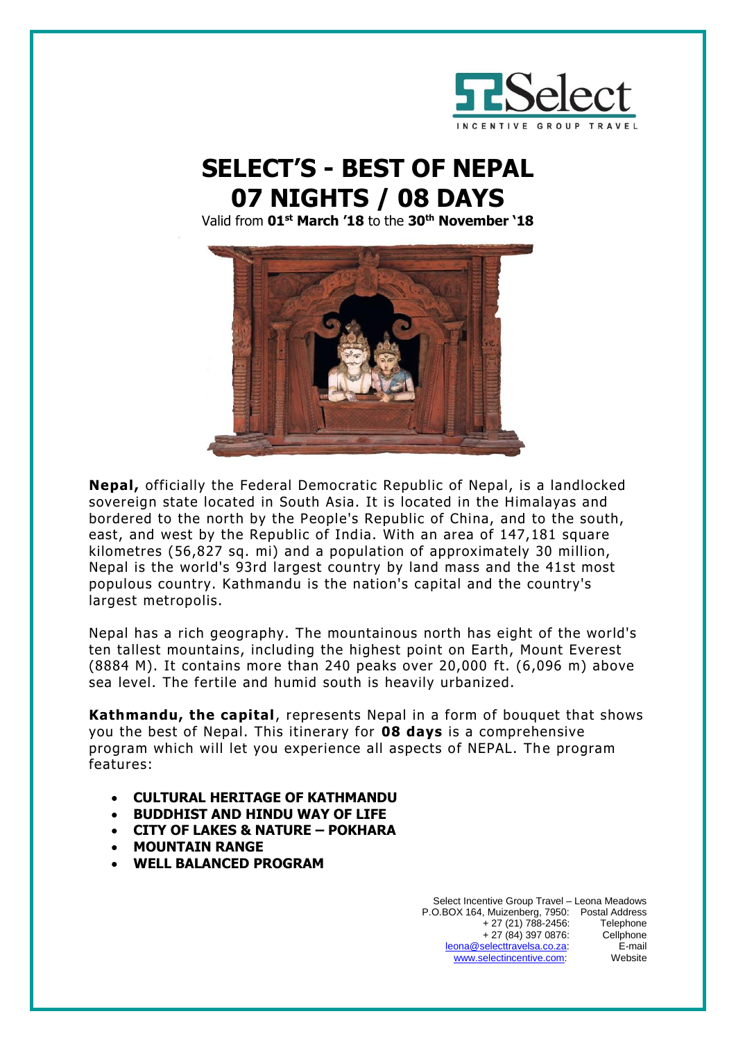

# **SELECT'S - BEST OF NEPAL 07 NIGHTS / 08 DAYS**

Valid from **01st March '18** to the **30th November '18**



**Nepal,** officially the Federal Democratic Republic of Nepal, is a landlocked sovereign state located in South Asia. It is located in the Himalayas and bordered to the north by the People's Republic of China, and to the south, east, and west by the Republic of India. With an area of 147,181 square kilometres (56,827 sq. mi) and a population of approximately 30 million, Nepal is the world's 93rd largest country by land mass and the 41st most populous country. Kathmandu is the nation's capital and the country's largest metropolis.

Nepal has a rich geography. The mountainous north has eight of the world's ten tallest mountains, including the highest point on Earth, Mount Everest (8884 M). It contains more than 240 peaks over 20,000 ft. (6,096 m) above sea level. The fertile and humid south is heavily urbanized.

**Kathmandu, the capital**, represents Nepal in a form of bouquet that shows you the best of Nepal. This itinerary for **08 days** is a comprehensive program which will let you experience all aspects of NEPAL. The program features:

- **CULTURAL HERITAGE OF KATHMANDU**
- **BUDDHIST AND HINDU WAY OF LIFE**
- **CITY OF LAKES & NATURE – POKHARA**
- **MOUNTAIN RANGE**
- **WELL BALANCED PROGRAM**

Select Incentive Group Travel – Leona Meadows P.O.BOX 164, Muizenberg, 7950: Postal Address + 27 (21) 788-2456: Telephone<br>+ 27 (84) 397 0876: Cellphone  $+ 27 (84) 397 0876$ : [leona@selecttravelsa.co.za:](mailto:leona@selecttravelsa.co.za) E-mail www.selectincentive.com. Website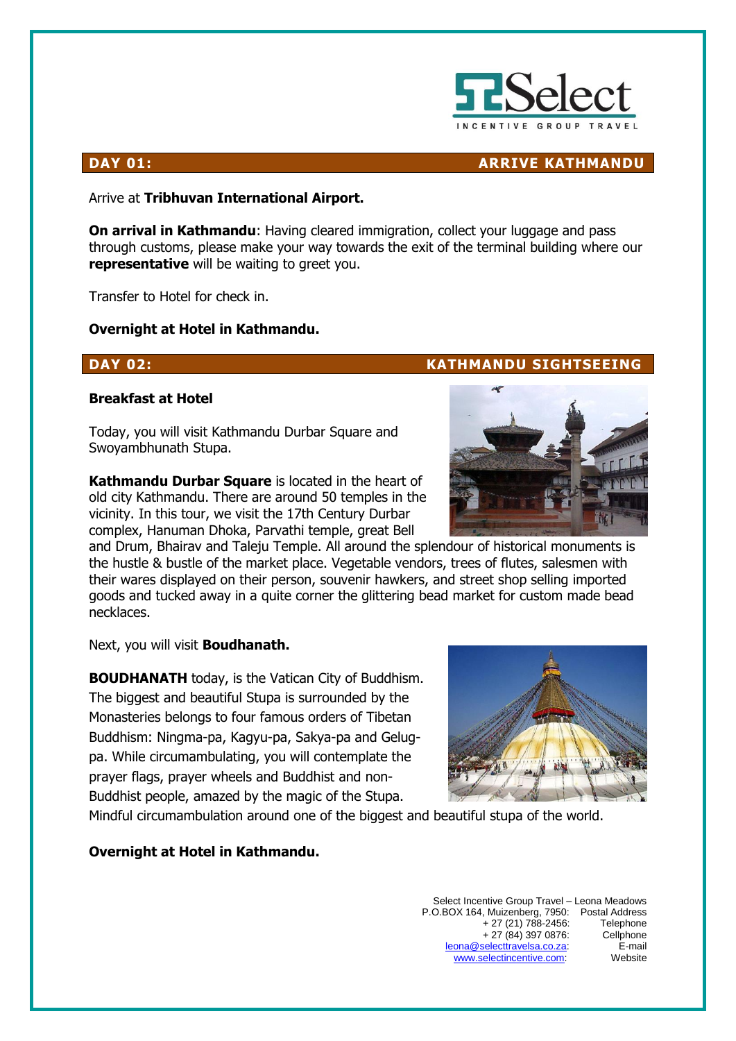

## **DAY 01:** ARRIVE KATHMANDU

Arrive at **Tribhuvan International Airport.** 

**On arrival in Kathmandu:** Having cleared immigration, collect your luggage and pass through customs, please make your way towards the exit of the terminal building where our **representative** will be waiting to greet you.

Transfer to Hotel for check in.

### **Overnight at Hotel in Kathmandu.**

### **DAY 02: KATHMANDU SIGHTSEEING**

### **Breakfast at Hotel**

Today, you will visit Kathmandu Durbar Square and Swoyambhunath Stupa.

**Kathmandu Durbar Square** is located in the heart of old city Kathmandu. There are around 50 temples in the vicinity. In this tour, we visit the 17th Century Durbar complex, Hanuman Dhoka, Parvathi temple, great Bell

and Drum, Bhairav and Taleju Temple. All around the splendour of historical monuments is the hustle & bustle of the market place. Vegetable vendors, trees of flutes, salesmen with their wares displayed on their person, souvenir hawkers, and street shop selling imported goods and tucked away in a quite corner the glittering bead market for custom made bead necklaces.

Next, you will visit **Boudhanath.**

**BOUDHANATH** today, is the Vatican City of Buddhism. The biggest and beautiful Stupa is surrounded by the Monasteries belongs to four famous orders of Tibetan Buddhism: Ningma-pa, Kagyu-pa, Sakya-pa and Gelugpa. While circumambulating, you will contemplate the prayer flags, prayer wheels and Buddhist and non-Buddhist people, amazed by the magic of the Stupa.



Mindful circumambulation around one of the biggest and beautiful stupa of the world.

### **Overnight at Hotel in Kathmandu.**

Select Incentive Group Travel – Leona Meadows P.O.BOX 164, Muizenberg, 7950: Postal Address + 27 (21) 788-2456: Telephone + 27 (84) 397 0876: Cellphone [leona@selecttravelsa.co.za:](mailto:leona@selecttravelsa.co.za) E-mail [www.selectincentive.com:](http://www.selectincentive.com/) Website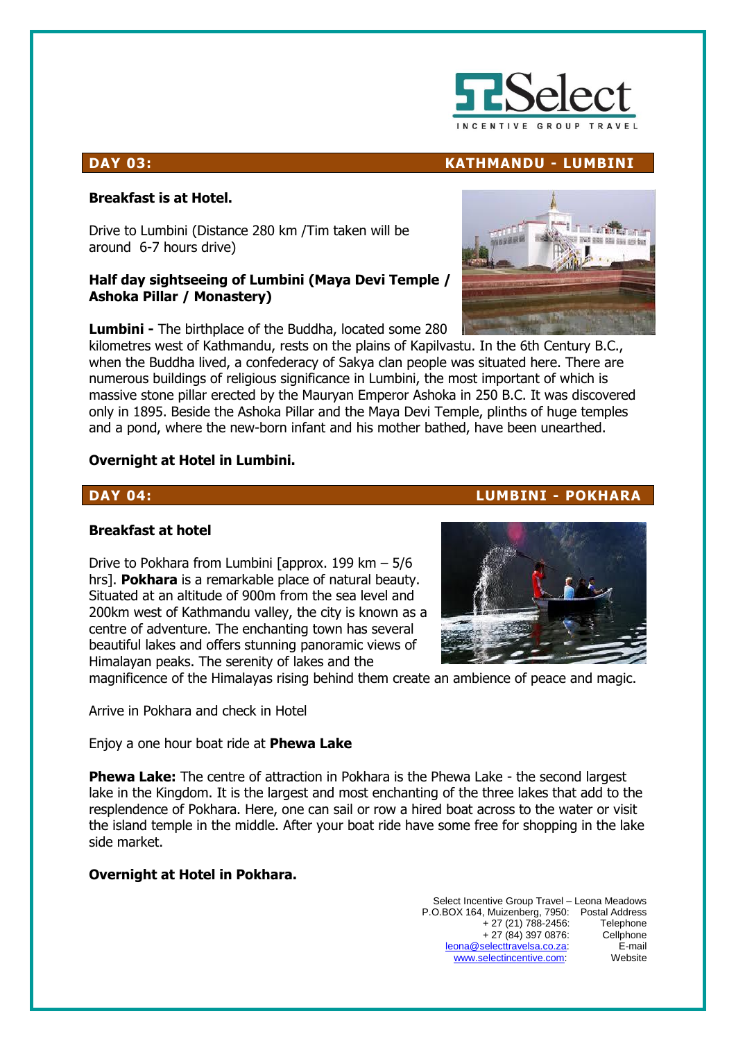

### **DAY 03: KATHMANDU - LUMBINI**

### **Breakfast is at Hotel.**

Drive to Lumbini (Distance 280 km /Tim taken will be around 6-7 hours drive)

### **Half day sightseeing of Lumbini (Maya Devi Temple / Ashoka Pillar / Monastery)**

**Lumbini -** The birthplace of the Buddha, located some 280

kilometres west of Kathmandu, rests on the plains of Kapilvastu. In the 6th Century B.C., when the Buddha lived, a confederacy of Sakya clan people was situated here. There are numerous buildings of religious significance in Lumbini, the most important of which is massive stone pillar erected by the Mauryan Emperor Ashoka in 250 B.C. It was discovered only in 1895. Beside the Ashoka Pillar and the Maya Devi Temple, plinths of huge temples and a pond, where the new-born infant and his mother bathed, have been unearthed.

### **Overnight at Hotel in Lumbini.**

### **DAY 04: LUMBINI - POKHARA**

### **Breakfast at hotel**

Drive to Pokhara from Lumbini [approx. 199 km – 5/6 hrs]. **Pokhara** is a remarkable place of natural beauty. Situated at an altitude of 900m from the sea level and 200km west of Kathmandu valley, the city is known as a centre of adventure. The enchanting town has several beautiful lakes and offers stunning panoramic views of Himalayan peaks. The serenity of lakes and the



magnificence of the Himalayas rising behind them create an ambience of peace and magic.

Arrive in Pokhara and check in Hotel

Enjoy a one hour boat ride at **Phewa Lake** 

**Phewa Lake:** The centre of attraction in Pokhara is the Phewa Lake - the second largest lake in the Kingdom. It is the largest and most enchanting of the three lakes that add to the resplendence of Pokhara. Here, one can sail or row a hired boat across to the water or visit the island temple in the middle. After your boat ride have some free for shopping in the lake side market.

### **Overnight at Hotel in Pokhara.**

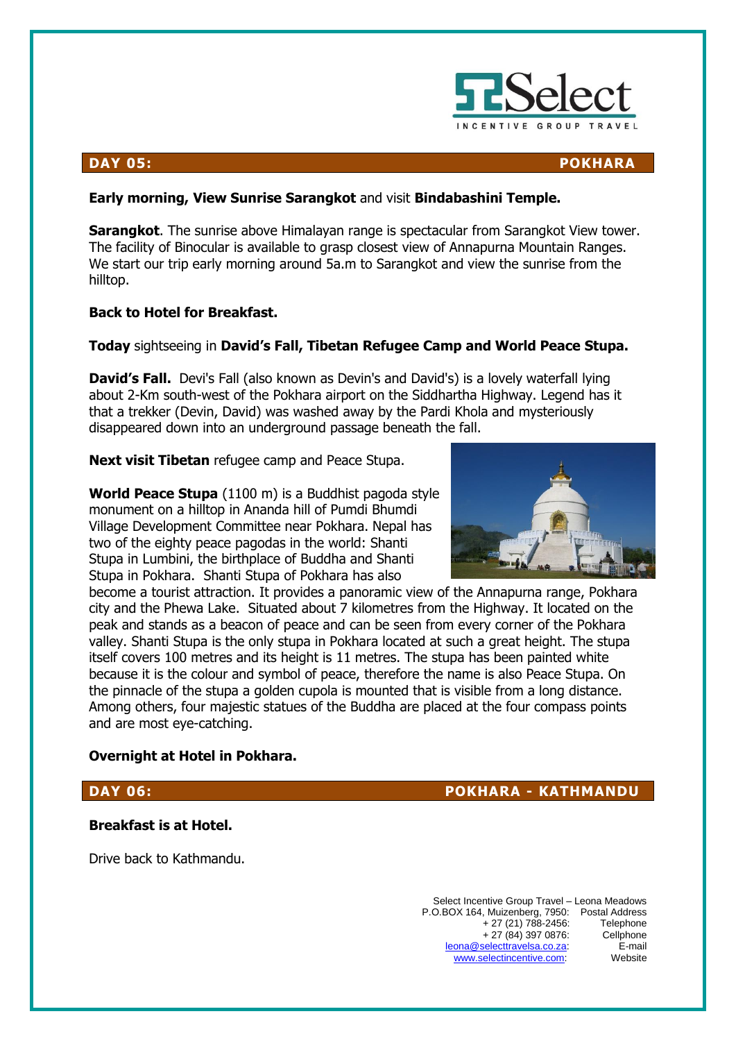

### **DAY 05: POKHARA**

### **Early morning, View Sunrise Sarangkot** and visit **Bindabashini Temple.**

**Sarangkot**. The sunrise above Himalayan range is spectacular from Sarangkot View tower. The facility of Binocular is available to grasp closest view of Annapurna Mountain Ranges. We start our trip early morning around 5a.m to Sarangkot and view the sunrise from the hilltop.

### **Back to Hotel for Breakfast.**

### **Today** sightseeing in **David's Fall, Tibetan Refugee Camp and World Peace Stupa.**

**David's Fall.** Devi's Fall (also known as Devin's and David's) is a lovely waterfall lying about 2-Km south-west of the Pokhara airport on the Siddhartha Highway. Legend has it that a trekker (Devin, David) was washed away by the Pardi Khola and mysteriously disappeared down into an underground passage beneath the fall.

**Next visit Tibetan** refugee camp and Peace Stupa.

**World Peace Stupa** (1100 m) is a Buddhist pagoda style monument on a hilltop in Ananda hill of Pumdi Bhumdi Village Development Committee near Pokhara. Nepal has two of the eighty peace pagodas in the world: Shanti Stupa in Lumbini, the birthplace of Buddha and Shanti Stupa in Pokhara. Shanti Stupa of Pokhara has also



become a tourist attraction. It provides a panoramic view of the Annapurna range, Pokhara city and the Phewa Lake. Situated about 7 kilometres from the Highway. It located on the peak and stands as a beacon of peace and can be seen from every corner of the Pokhara valley. Shanti Stupa is the only stupa in Pokhara located at such a great height. The stupa itself covers 100 metres and its height is 11 metres. The stupa has been painted white because it is the colour and symbol of peace, therefore the name is also Peace Stupa. On the pinnacle of the stupa a golden cupola is mounted that is visible from a long distance. Among others, four majestic statues of the Buddha are placed at the four compass points and are most eye-catching.

### **Overnight at Hotel in Pokhara.**

### **DAY 06: POKHARA - KATHMANDU**

### **Breakfast is at Hotel.**

Drive back to Kathmandu.

Select Incentive Group Travel – Leona Meadows P.O.BOX 164, Muizenberg, 7950: Postal Address + 27 (21) 788-2456: Telephone<br>+ 27 (84) 397 0876: Cellphone  $+ 27 (84) 397 0876$ : [leona@selecttravelsa.co.za:](mailto:leona@selecttravelsa.co.za) E-mail www.selectincentive.com. Website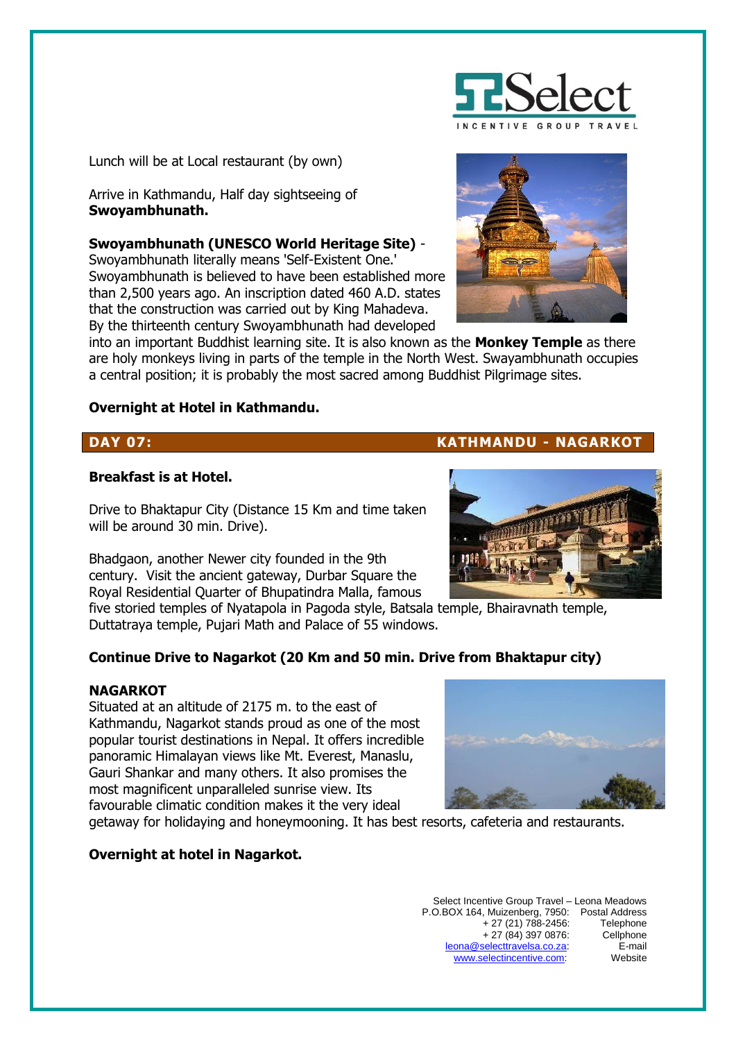

Lunch will be at Local restaurant (by own)

Arrive in Kathmandu, Half day sightseeing of **Swoyambhunath.**

**Swoyambhunath (UNESCO World Heritage Site)** -

Swoyambhunath literally means 'Self-Existent One.' Swoyambhunath is believed to have been established more than 2,500 years ago. An inscription dated 460 A.D. states that the construction was carried out by King Mahadeva. By the thirteenth century Swoyambhunath had developed



into an important Buddhist learning site. It is also known as the **Monkey Temple** as there are holy monkeys living in parts of the temple in the North West. Swayambhunath occupies a central position; it is probably the most sacred among Buddhist Pilgrimage sites.

### **Overnight at Hotel in Kathmandu.**

### **Breakfast is at Hotel.**

Drive to Bhaktapur City (Distance 15 Km and time taken will be around 30 min. Drive).

Bhadgaon, another Newer city founded in the 9th century. Visit the ancient gateway, Durbar Square the Royal Residential Quarter of Bhupatindra Malla, famous

five storied temples of Nyatapola in Pagoda style, Batsala temple, Bhairavnath temple, Duttatraya temple, Pujari Math and Palace of 55 windows.

### **Continue Drive to Nagarkot (20 Km and 50 min. Drive from Bhaktapur city)**

### **NAGARKOT**

Situated at an altitude of 2175 m. to the east of Kathmandu, Nagarkot stands proud as one of the most popular tourist destinations in Nepal. It offers incredible panoramic Himalayan views like Mt. Everest, Manaslu, Gauri Shankar and many others. It also promises the most magnificent unparalleled sunrise view. Its favourable climatic condition makes it the very ideal



### **Overnight at hotel in Nagarkot.**

### Select Incentive Group Travel – Leona Meadows P.O.BOX 164, Muizenberg, 7950: Postal Address + 27 (21) 788-2456: Telephone<br>+ 27 (84) 397 0876: Cellphone  $+ 27 (84) 397 0876$ : [leona@selecttravelsa.co.za:](mailto:leona@selecttravelsa.co.za) E-mail [www.selectincentive.com:](http://www.selectincentive.com/) Website





**DAY 07: KATHMANDU - NAGARKOT**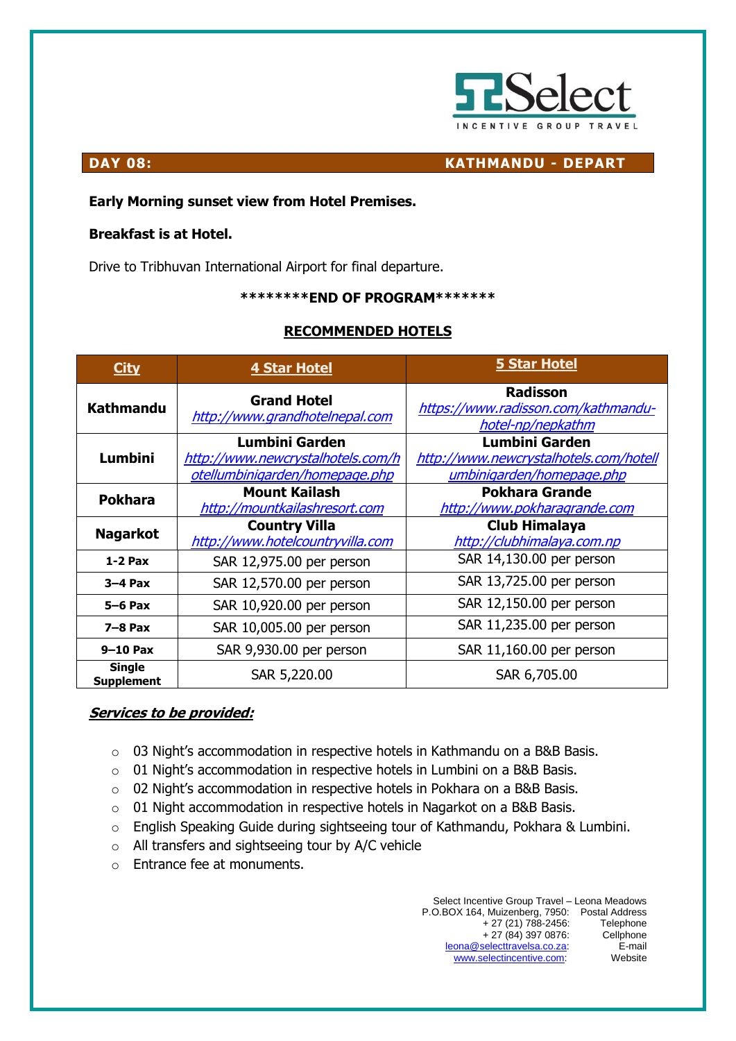

**DAY 08: KATHMANDU - DEPART**

### **Early Morning sunset view from Hotel Premises.**

### **Breakfast is at Hotel.**

Drive to Tribhuvan International Airport for final departure.

### **\*\*\*\*\*\*\*\*END OF PROGRAM\*\*\*\*\*\*\***

### **RECOMMENDED HOTELS**

| <b>City</b>                        | 4 Star Hotel                                                                          | <b>5 Star Hotel</b>                                                                   |
|------------------------------------|---------------------------------------------------------------------------------------|---------------------------------------------------------------------------------------|
| <b>Kathmandu</b>                   | <b>Grand Hotel</b><br>http://www.grandhotelnepal.com                                  | <b>Radisson</b><br>https://www.radisson.com/kathmandu-<br>hotel-np/nepkathm           |
| <b>Lumbini</b>                     | Lumbini Garden<br>http://www.newcrystalhotels.com/h<br>otellumbinigarden/homepage.php | Lumbini Garden<br>http://www.newcrystalhotels.com/hotell<br>umbinigarden/homepage.php |
| <b>Pokhara</b>                     | <b>Mount Kailash</b><br>http://mountkailashresort.com                                 | <b>Pokhara Grande</b><br>http://www.pokharagrande.com                                 |
| <b>Nagarkot</b>                    | <b>Country Villa</b><br>http://www.hotelcountryvilla.com                              | <b>Club Himalaya</b><br>http://clubhimalaya.com.np                                    |
| $1-2$ Pax                          | SAR 12,975.00 per person                                                              | SAR 14,130.00 per person                                                              |
| $3-4$ Pax                          | SAR 12,570.00 per person                                                              | SAR 13,725.00 per person                                                              |
| $5-6$ Pax                          | SAR 10,920.00 per person                                                              | SAR 12,150.00 per person                                                              |
| $7-8$ Pax                          | SAR 10,005.00 per person                                                              | SAR 11,235.00 per person                                                              |
| $9-10$ Pax                         | SAR 9,930.00 per person                                                               | SAR 11,160.00 per person                                                              |
| <b>Single</b><br><b>Supplement</b> | SAR 5,220.00                                                                          | SAR 6,705.00                                                                          |

### **Services to be provided:**

- o 03 Night's accommodation in respective hotels in Kathmandu on a B&B Basis.
- o 01 Night's accommodation in respective hotels in Lumbini on a B&B Basis.
- o 02 Night's accommodation in respective hotels in Pokhara on a B&B Basis.
- o 01 Night accommodation in respective hotels in Nagarkot on a B&B Basis.
- o English Speaking Guide during sightseeing tour of Kathmandu, Pokhara & Lumbini.
- o All transfers and sightseeing tour by A/C vehicle
- o Entrance fee at monuments.